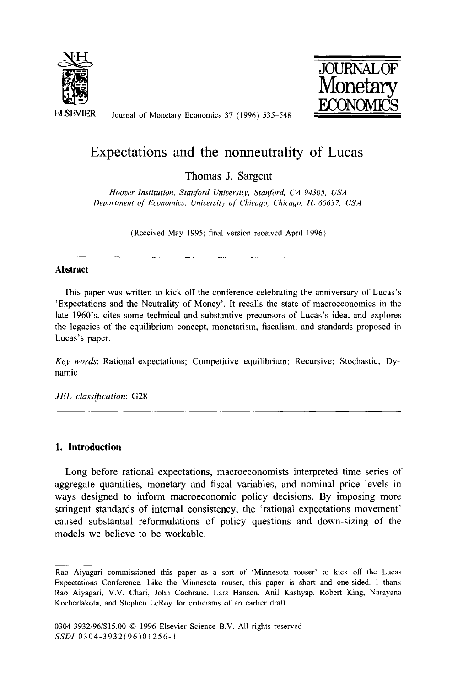

JOURNALOF **Monetar ECONOMICS** 

ELSEVIER Journal of Monetary Economics 37 (1996) 535-548

# **Expectations and the nonneutrality of Lucas**

Thomas J. Sargent

Hoover Institution, Stanford University, Stanford, CA 94305, USA *Department of Economics, University of Chicago, Chicago. IL 60637. USA* 

(Received May 1995; final version received April 1996)

#### **Abstract**

This paper was written to kick off the conference celebrating the anniversary of Lucas's 'Expectations and the Neutrality of Money'. It recalls the state of macroeconomics in the late 1960's, cites some technical and substantive precursors of Lucas's idea, and explores the legacies of the equilibrium concept, monetarism, fiscalism, and standards proposed in Lucas's paper.

*Key words:* Rational expectations; Competitive equilibrium; Recursive; Stochastic; Dynamic

*JEL classification:* G28

# **I. Introduction**

Long before rational expectations, macroeconomists interpreted time series of aggregate quantities, monetary and fiscal variables, and nominal price levels in ways designed to inform macroeconomic policy decisions. By imposing more stringent standards of internal consistency, the 'rational expectations movement' caused substantial reformulations of policy questions and down-sizing of the models we believe to be workable.

Rao Aiyagari commissioned this paper as a sort of 'Minnesota rouser' to kick off the Lucas Expectations Conference. Like the Minnesota rouser, this paper is short and one-sided. 1 thank Rao Aiyagari, V.V. Chari, John Cochrane, Lars Hansen, Anil Kashyap, Robert King, Narayana Kocherlakota, and Stephen LeRoy for criticisms of an earlier draft.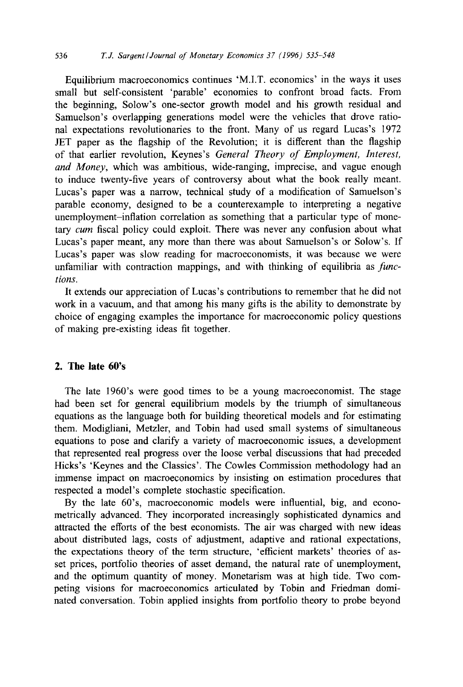#### 536 *T.J. Sargent~Journal of Monetary Economics 37 (1996) 535-548*

Equilibrium macroeconomics continues 'M.I.T. economics' in the ways it uses small but self-consistent 'parable' economies to confront broad facts. From the beginning, Solow's one-sector growth model and his growth residual and Samuelson's overlapping generations model were the vehicles that drove rational expectations revolutionaries to the front. Many of us regard Lucas's 1972 JET paper as the flagship of the Revolution; it is different than the flagship of that earlier revolution, Keynes's *General Theory of Employment, Interest, and Money,* which was ambitious, wide-ranging, imprecise, and vague enough to induce twenty-five years of controversy about what the book really meant. Lucas's paper was a narrow, technical study of a modification of Samuelson's parable economy, designed to be a counterexample to interpreting a negative unemployment-inflation correlation as something that a particular type of monetary *cum* fiscal policy could exploit. There was never any confusion about what Lucas's paper meant, any more than there was about Samuelson's or Solow's. If Lucas's paper was slow reading for macroeconomists, it was because we were unfamiliar with contraction mappings, and with thinking of equilibria as *functions.* 

It extends our appreciation of Lucas's contributions to remember that he did not work in a vacuum, and that among his many gifts is the ability to demonstrate by choice of engaging examples the importance for macroeconomic policy questions of making pre-existing ideas fit together.

# **2. The late 60's**

The late 1960's were good times to be a young macroeconomist. The stage had been set for general equilibrium models by the triumph of simultaneous equations as the language both for building theoretical models and for estimating them. Modigliani, Metzler, and Tobin had used small systems of simultaneous equations to pose and clarify a variety of macroeconomic issues, a development that represented real progress over the loose verbal discussions that had preceded Hicks's 'Keynes and the Classics'. The Cowles Commission methodology had an immense impact on macroeconomics by insisting on estimation procedures that respected a model's complete stochastic specification.

By the late 60's, macroeconomic models were influential, big, and econometrically advanced. They incorporated increasingly sophisticated dynamics and attracted the efforts of the best economists. The air was charged with new ideas about distributed lags, costs of adjustment, adaptive and rational expectations, the expectations theory of the term structure, 'efficient markets' theories of asset prices, portfolio theories of asset demand, the natural rate of unemployment, and the optimum quantity of money. Monetarism was at high tide. Two competing visions for macroeconomics articulated by Tobin and Friedman dominated conversation. Tobin applied insights from portfolio theory to probe beyond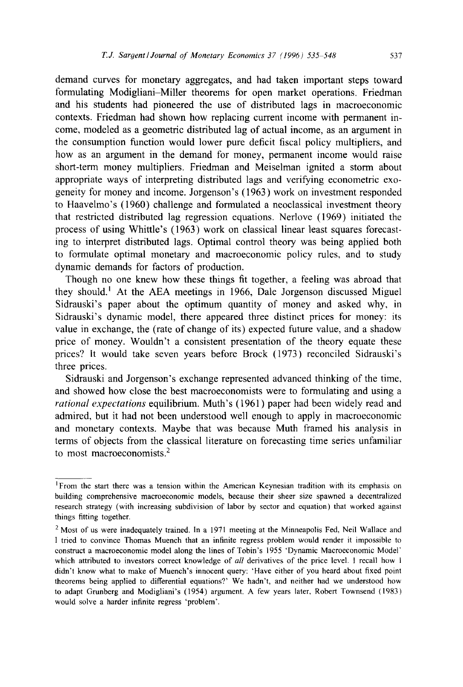demand curves for monetary aggregates, and had taken important steps toward formulating Modigliani-Miller theorems for open market operations. Friedman and his students had pioneered the use of distributed lags in macroeconomic contexts. Friedman had shown how replacing current income with permanent income, modeled as a geometric distributed lag of actual income, as an argument in the consumption function would lower pure deficit fiscal policy multipliers, and how as an argument in the demand for money, permanent income would raise short-term money multipliers. Friedman and Meiselman ignited a storm about appropriate ways of interpreting distributed lags and verifying econometric exogeneity for money and income. Jorgenson's (1963) work on investment responded to Haavelmo's (1960) challenge and formulated a neoclassical investment theory that restricted distributed lag regression equations. Nerlove (1969) initiated the process of using Whittle's (1963) work on classical linear least squares forecasting to interpret distributed lags. Optimal control theory was being applied both to formulate optimal monetary and macroeconomic policy rules, and to study dynamic demands for factors of production.

Though no one knew how these things fit together, a feeling was abroad that they should. I At the AEA meetings in 1966, Dale Jorgenson discussed Miguel Sidrauski's paper about the optimum quantity of money and asked why, in Sidrauski's dynamic model, there appeared three distinct prices for money: its value in exchange, the (rate of change of its) expected future value, and a shadow price of money. Wouldn't a consistent presentation of the theory equate these prices? It would take seven years before Brock (1973) reconciled Sidrauski's three prices.

Sidrauski and Jorgenson's exchange represented advanced thinking of the time, and showed how close the best macroeconomists were to formulating and using a *rational expectations* equilibrium. Muth's (1961 ) paper had been widely read and admired, but it had not been understood well enough to apply in macroeconomic and monetary contexts. Maybe that was because Muth framed his analysis in terms of objects from the classical literature on forecasting time series unfamiliar to most macroeconomists.<sup>2</sup>

<sup>&</sup>lt;sup>1</sup> From the start there was a tension within the American Keynesian tradition with its emphasis on building comprehensive macroeconomic models, because their sheer size spawned a decentralized research strategy (with increasing subdivision of labor by sector and equation) that worked against things fitting together.

<sup>&</sup>lt;sup>2</sup> Most of us were inadequately trained. In a 1971 meeting at the Minneapolis Fed, Neil Wallace and I tried to convince Thomas Muench that an infinite regress problem would render it impossible to construct a macroeconomic model along the lines of Tobin's 1955 'Dynamic Macroeconomic Model' which attributed to investors correct knowledge of all derivatives of the price level. I recall how I didn't know what to make of Muench's innocent query: 'Have either of you heard about fixed point theorems being applied to differential equations?' We hadn't, and neither had we understood how to adapt Grunberg and Modigliani's (1954) argument. A few years later, Robert Townsend (1983) would solve a harder infinite regress 'problem'.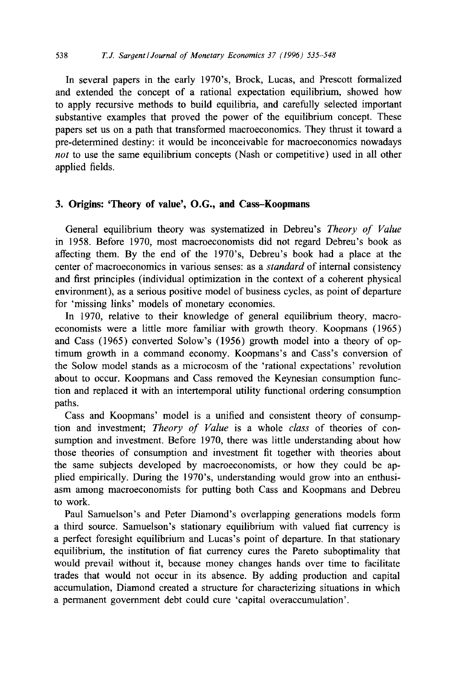In several papers in the early 1970's, Brock, Lucas, and Prescott formalized and extended the concept of a rational expectation equilibrium, showed how to apply recursive methods to build equilibria, and carefully selected important substantive examples that proved the power of the equilibrium concept. These papers set us on a path that transformed macroeconomics. They thrust it toward a pre-determined destiny: it would be inconceivable for macroeconomics nowadays *not* to use the same equilibrium concepts (Nash or competitive) used in all other applied fields.

#### **3. Origins: 'Theory of value', O.G., and Cass-Koopmans**

General equilibrium theory was systematized in Debreu's *Theory of Value*  in 1958. Before 1970, most macroeconomists did not regard Debreu's book as affecting them. By the end of the 1970's, Debreu's book had a place at the center of macroeconomics in various senses: as a *standard* of internal consistency and first principles (individual optimization in the context of a coherent physical environment), as a serious positive model of business cycles, as point of departure for 'missing links' models of monetary economies.

In 1970, relative to their knowledge of general equilibrium theory, macroeconomists were a little more familiar with growth theory. Koopmans (1965) and Cass (1965) converted Solow's (1956) growth model into a theory of optimum growth in a command economy. Koopmans's and Cass's conversion of the Solow model stands as a microcosm of the 'rational expectations' revolution about to occur. Koopmans and Cass removed the Keynesian consumption function and replaced it with an intertemporal utility functional ordering consumption paths.

Cass and Koopmans' model is a unified and consistent theory of consumption and investment; *Theory of Value* is a whole *class* of theories of consumption and investment. Before 1970, there was little understanding about how those theories of consumption and investment fit together with theories about the same subjects developed by macroeconomists, or how they could be applied empirically. During the 1970's, understanding would grow into an enthusiasm among macroeconomists for putting both Cass and Koopmans and Debreu to work.

Paul Samuelson's and Peter Diamond's overlapping generations models form a third source. Samuelson's stationary equilibrium with valued fiat currency is a perfect foresight equilibrium and Lucas's point of departure. In that stationary equilibrium, the institution of fiat currency cures the Pareto suboptimality that would prevail without it, because money changes hands over time to facilitate trades that would not occur in its absence. By adding production and capital accumulation, Diamond created a structure for characterizing situations in which a permanent government debt could cure 'capital overaccumulation'.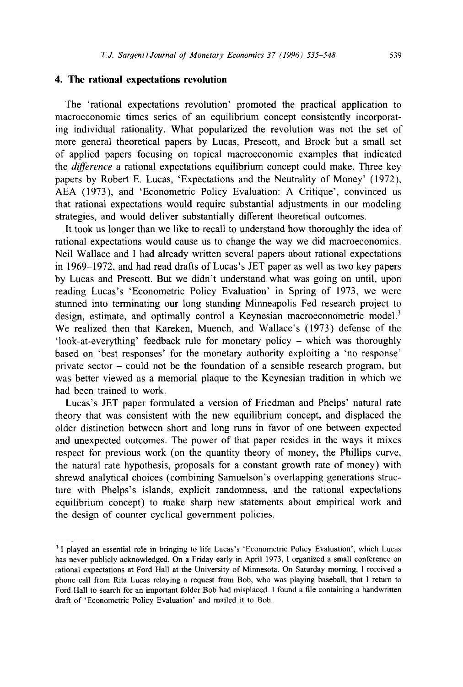# **4. The rational expectations revolution**

The 'rational expectations revolution' promoted the practical application to macroeconomic times series of an equilibrium concept consistently incorporating individual rationality. What popularized the revolution was not the set of more general theoretical papers by Lucas, Prescott, and Brock but a small set of applied papers focusing on topical macroeconomic examples that indicated the *difference* a rational expectations equilibrium concept could make. Three key papers by Robert E. Lucas, 'Expectations and the Neutrality of Money' (1972), AEA (1973), and 'Econometric Policy Evaluation: A Critique', convinced us that rational expectations would require substantial adjustments in our modeling strategies, and would deliver substantially different theoretical outcomes.

It took us longer than we like to recall to understand how thoroughly the idea of rational expectations would cause us to change the way we did macroeconomics. Neil Wallace and I had already written several papers about rational expectations in 1969-1972, and had read drafts of Lucas's JET paper as well as two key papers by Lucas and Prescott. But we didn't understand what was going on until, upon reading Lucas's 'Econometric Policy Evaluation' in Spring of 1973, we were stunned into terminating our long standing Minneapolis Fed research project to design, estimate, and optimally control a Keynesian macroeconometric model.<sup>3</sup> We realized then that Kareken, Muench, and Wallace's (1973) defense of the 'look-at-everything' feedback rule for monetary policy - which was thoroughly based on 'best responses' for the monetary authority exploiting a 'no response' private sector - could not be the foundation of a sensible research program, but was better viewed as a memorial plaque to the Keynesian tradition in which we had been trained to work.

Lucas's JET paper formulated a version of Friedman and Phelps' natural rate theory that was consistent with the new equilibrium concept, and displaced the older distinction between short and long runs in favor of one between expected and unexpected outcomes. The power of that paper resides in the ways it mixes respect for previous work (on the quantity theory of money, the Phillips curve, the natural rate hypothesis, proposals for a constant growth rate of money) with shrewd analytical choices (combining Samuelson's overlapping generations structure with Phelps's islands, explicit randomness, and the rational expectations equilibrium concept) to make sharp new statements about empirical work and the design of counter cyclical government policies.

<sup>&</sup>lt;sup>3</sup> I played an essential role in bringing to life Lucas's 'Econometric Policy Evaluation', which Lucas has never publicly acknowledged. On a Friday early in April 1973, I organized a small conference on rational expectations at Ford Hall at the University of Minnesota. On Saturday morning, l received a phone call from Rita Lucas relaying a request from Bob, who was playing baseball, that I return to Ford Hall to search for an important folder Bob had misplaced. 1 found a file containing a handwritten draft of 'Econometric Policy Evaluation' and mailed it to Bob.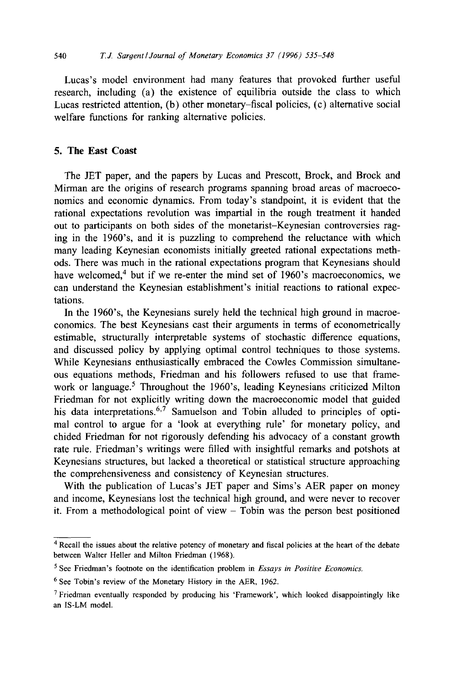Lucas's model environment had many features that provoked further useful research, including (a) the existence of equilibria outside the class to which Lucas restricted attention, (b) other monetary-fiscal policies, (c) alternative social welfare functions for ranking alternative policies.

# **5. The East Coast**

The JET paper, and the papers by Lucas and Prescott, Brock, and Brock and Mirman are the origins of research programs spanning broad areas of macroeconomics and economic dynamics. From today's standpoint, it is evident that the rational expectations revolution was impartial in the rough treatment it handed out to participants on both sides of the monetarist-Keynesian controversies raging in the 1960's, and it is puzzling to comprehend the reluctance with which many leading Keynesian economists initially greeted rational expectations methods. There was much in the rational expectations program that Keynesians should have welcomed,<sup>4</sup> but if we re-enter the mind set of 1960's macroeconomics, we can understand the Keynesian establishment's initial reactions to rational expectations.

In the 1960's, the Keynesians surely held the technical high ground in macroeconomics. The best Keynesians cast their arguments in terms of econometrically estimable, structurally interpretable systems of stochastic difference equations, and discussed policy by applying optimal control techniques to those systems. While Keynesians enthusiastically embraced the Cowles Commission simultaneous equations methods, Friedman and his followers refused to use that framework or language.<sup>5</sup> Throughout the 1960's, leading Keynesians criticized Milton Friedman for not explicitly writing down the macroeconomic model that guided his data interpretations.  $6.7$  Samuelson and Tobin alluded to principles of optimal control to argue for a 'look at everything rule' for monetary policy, and chided Friedman for not rigorously defending his advocacy of a constant growth rate rule. Friedman's writings were filled with insightful remarks and potshots at Keynesians structures, but lacked a theoretical or statistical structure approaching the comprehensiveness and consistency of Keynesian structures.

With the publication of Lucas's JET paper and Sims's AER paper on money and income, Keynesians lost the technical high ground, and were never to recover it. From a methodological point of view - Tobin was the person best positioned

<sup>&</sup>lt;sup>4</sup> Recall the issues about the relative potency of monetary and fiscal policies at the heart of the debate between Walter Heller and Milton Friedman (1968).

<sup>5</sup> See Friedman's footnote on the identification problem in *Essays in Positive Economics,* 

<sup>6</sup> See Tobin's review of the Monetary History in the AER, 1962.

 $7$  Friedman eventually responded by producing his 'Framework', which looked disappointingly like an IS-LM model.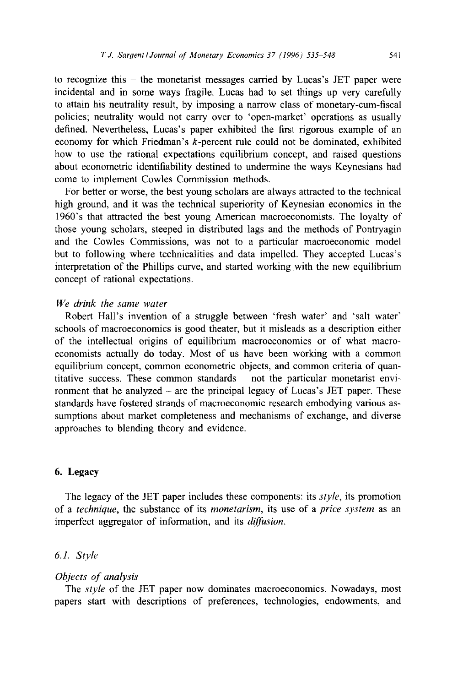to recognize this - the monetarist messages carried by Lucas's JET paper were incidental and in some ways fragile. Lucas had to set things up very carefully to attain his neutrality result, by imposing a narrow class of monetary-cure-fiscal policies; neutrality would not carry over to 'open-market' operations as usually defined. Nevertheless, Lucas's paper exhibited the first rigorous example of an economy for which Friedman's k-percent rule could not be dominated, exhibited how to use the rational expectations equilibrium concept, and raised questions about econometric identifiability destined to undermine the ways Keynesians had come to implement Cowles Commission methods.

For better or worse, the best young scholars are always attracted to the technical high ground, and it was the technical superiority of Keynesian economics in the 1960's that attracted the best young American macroeconomists. The loyalty of those young scholars, steeped in distributed lags and the methods of Pontryagin and the Cowles Commissions, was not to a particular macroeconomic model but to following where technicalities and data impelled. They accepted Lucas's interpretation of the Phillips curve, and started working with the new equilibrium concept of rational expectations.

# *We drink the same water*

Robert Hall's invention of a struggle between 'fresh water' and 'salt water' schools of macroeconomics is good theater, but it misleads as a description either of the intellectual origins of equilibrium macroeconomics or of what macroeconomists actually do today. Most of us have been working with a common equilibrium concept, common econometric objects, and common criteria of quantitative success. These common standards - not the particular monetarist environment that he analyzed - are the principal legacy of Lucas's JET paper. These standards have fostered strands of macroeconomic research embodying various assumptions about market completeness and mechanisms of exchange, and diverse approaches to blending theory and evidence.

# **6. Legacy**

The legacy of the JET paper includes these components: its *style,* its promotion of a *technique,* the substance of its *monetarism,* its use of a *price system* as an imperfect aggregator of information, and its *diffusion.* 

#### *6.1. Style*

#### *Objects of analysis*

The *style* of the JET paper now dominates macroeconomics. Nowadays, most papers start with descriptions of preferences, technologies, endowments, and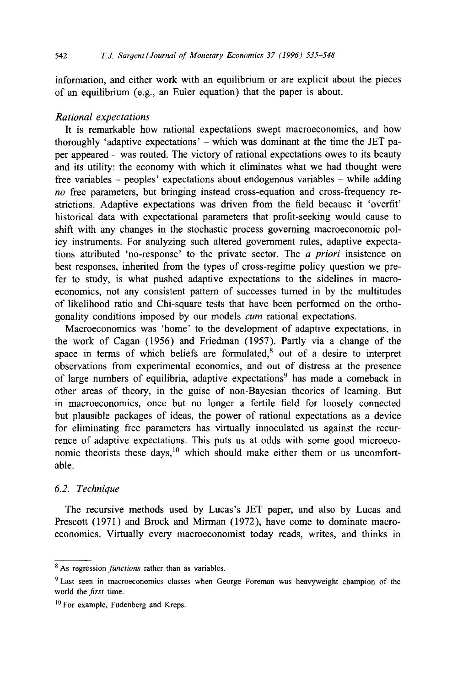information, and either work with an equilibrium or are explicit about the pieces of an equilibrium (e.g., an Euler equation) that the paper is about.

### *Rational expectations*

It is remarkable how rational expectations swept macroeconomics, and how thoroughly 'adaptive expectations'  $-$  which was dominant at the time the JET paper appeared - was routed. The victory of rational expectations owes to its beauty and its utility: the economy with which it eliminates what we had thought were free variables - peoples' expectations about endogenous variables - while adding *no* free parameters, but bringing instead cross-equation and cross-frequency restrictions. Adaptive expectations was driven from the field because it 'overfit' historical data with expectational parameters that profit-seeking would cause to shift with any changes in the stochastic process governing macroeconomic policy instruments. For analyzing such altered government rules, adaptive expectations attributed 'no-response' to the private sector. The *a priori* insistence on best responses, inherited from the types of cross-regime policy question we prefer to study, is what pushed adaptive expectations to the sidelines in macroeconomics, not any consistent pattern of successes turned in by the multitudes of likelihood ratio and Chi-square tests that have been performed on the orthogonality conditions imposed by our models *cum* rational expectations.

Macroeconomics was 'home' to the development of adaptive expectations, in the work of Cagan (1956) and Friedman (1957). Partly via a change of the space in terms of which beliefs are formulated, $\stackrel{8}{\circ}$  out of a desire to interpret observations from experimental economics, and out of distress at the presence of large numbers of equilibria, adaptive expectations<sup>9</sup> has made a comeback in other areas of theory, in the guise of non-Bayesian theories of learning. But in macroeconomics, once but no longer a fertile field for loosely connected but plausible packages of ideas, the power of rational expectations as a device for eliminating free parameters has virtually innoculated us against the recurrence of adaptive expectations. This puts us at odds with some good microeconomic theorists these days,  $10$  which should make either them or us uncomfortable.

# *6.2. Technique*

The recursive methods used by Lucas's JET paper, and also by Lucas and Prescott (1971) and Brock and Mirman (1972), have come to dominate macroeconomics. Virtually every macroeconomist today reads, writes, and thinks in

<sup>8</sup> As regression *functions* rather than as variables.

<sup>9</sup> Last seen in macroeconomics classes when George Foreman was heavyweight champion of the world the *first* time.

l0 For example, Fudenberg and Kreps.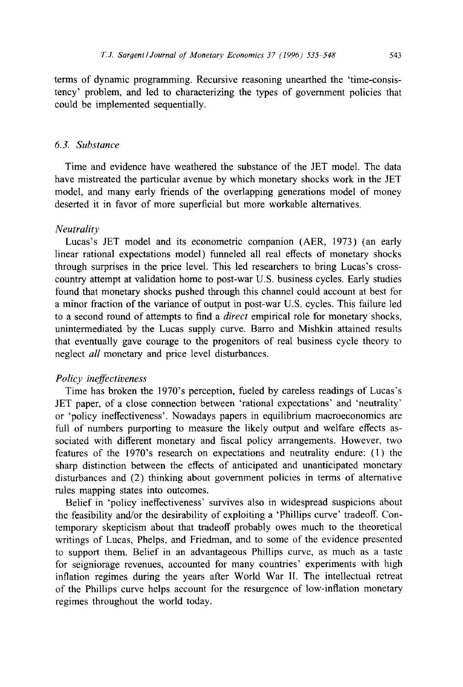terms of dynamic programming. Recursive reasoning unearthed the 'time-consistency' problem, and led to characterizing the types of government policies that could be implemented sequentially.

#### *6.3. Substance*

Time and evidence have weathered the substance of the JET model. The data have mistreated the particular avenue by which monetary shocks work in the JET model, and many early friends of the overlapping generations model of money deserted it in favor of more superficial but more workable alternatives.

#### *Neutrality*

Lucas's JET model and its econometric companion (AER, 1973) (an early linear rational expectations model) funneled all real effects of monetary shocks through surprises in the price level. This led researchers to bring Lucas's crosscountry attempt at validation home to post-war U.S. business cycles. Early studies found that monetary shocks pushed through this channel could account at best for a minor fraction of the variance of output in post-war U.S. cycles. This failure led to a second round of attempts to find a *direct* empirical role for monetary shocks, unintermediated by the Lucas supply curve. Barro and Mishkin attained results that eventually gave courage to the progenitors of real business cycle theory to neglect *all* monetary and price level disturbances.

#### *Policy ineffectiveness*

Time has broken the 1970's perception, fueled by careless readings of Lucas's JET paper, of a close connection between 'rational expectations' and 'neutrality' or 'policy inefectiveness'. Nowadays papers in equilibrium macroeconomics are full of numbers purporting to measure the likely output and welfare effects associated with different monetary and fiscal policy arrangements. However, two features of the 1970's research on expectations and neutrality endure: (1) the sharp distinction between the effects of anticipated and unanticipated monetary disturbances and (2) thinking about government policies in terms of alternative rules mapping states into outcomes.

Belief in 'policy ineffectiveness' survives also in widespread suspicions about the feasibility and/or the desirability of exploiting a 'Phillips curve' tradeoff. Contemporary skepticism about that tradeoff probably owes much to the theoretical writings of Lucas, Phelps, and Friedman, and to some of the evidence presented to support them. Belief in an advantageous Phillips curve, as much as a taste for seigniorage revenues, accounted for many countries' experiments with high inflation regimes during the years after World War II. The intellectual retreat of the Phillips curve helps account for the resurgence of low-inflation monetary regimes throughout the world today.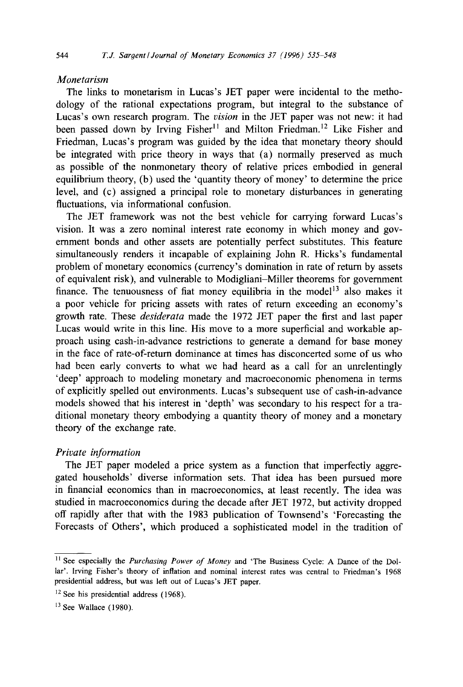#### *Monetarism*

The links to monetarism in Lucas's JET paper were incidental to the methodology of the rational expectations program, but integral to the substance of Lucas's own research program. The *vision* in the JET paper was not new: it had been passed down by Irving Fisher<sup>11</sup> and Milton Friedman.<sup>12</sup> Like Fisher and Friedman, Lucas's program was guided by the idea that monetary theory should be integrated with price theory in ways that (a) normally preserved as much as possible of the nonmonetary theory of relative prices embodied in general equilibrium theory, (b) used the 'quantity theory of money' to determine the price level, and (c) assigned a principal role to monetary disturbances in generating fluctuations, via informational confusion.

The JET framework was not the best vehicle for carrying forward Lucas's vision. It was a zero nominal interest rate economy in which money and govemment bonds and other assets are potentially perfect substitutes. This feature simultaneously renders it incapable of explaining John R. Hicks's fundamental problem of monetary economics (currency's domination in rate of retum by assets of equivalent risk), and vulnerable to Modigliani-Miller theorems for government finance. The tenuousness of fiat money equilibria in the model<sup>13</sup> also makes it a poor vehicle for pricing assets with rates of return exceeding an economy's growth rate. These *desiderata* made the 1972 JET paper the first and last paper Lucas would write in this line. His move to a more superficial and workable approach using cash-in-advance restrictions to generate a demand for base money in the face of rate-of-return dominance at times has disconcerted some of us who had been early converts to what we had heard as a call for an unrelentingly 'deep' approach to modeling monetary and macroeconomic phenomena in terms of explicitly spelled out environments. Lucas's subsequent use of cash-in-advance models showed that his interest in 'depth' was secondary to his respect for a traditional monetary theory embodying a quantity theory of money and a monetary theory of the exchange rate.

# *Private information*

The JET paper modeled a price system as a function that imperfectly aggregated households' diverse information sets. That idea has been pursued more in financial economics than in macroeconomics, at least recently. The idea was studied in macroeconomics during the decade after JET 1972, but activity dropped off rapidly after that with the 1983 publication of Townsend's 'Forecasting the Forecasts of Others', which produced a sophisticated model in the tradition of

<sup>&</sup>lt;sup>11</sup> See especially the *Purchasing Power of Money* and 'The Business Cycle: A Dance of the Dollar'. Irving Fisher's theory of inflation and nominal interest rates was central to Friedman's 1968 presidential address, but was left out of Lucas's JET paper.

 $12$  See his presidential address (1968).

<sup>13</sup> See Wallace (1980).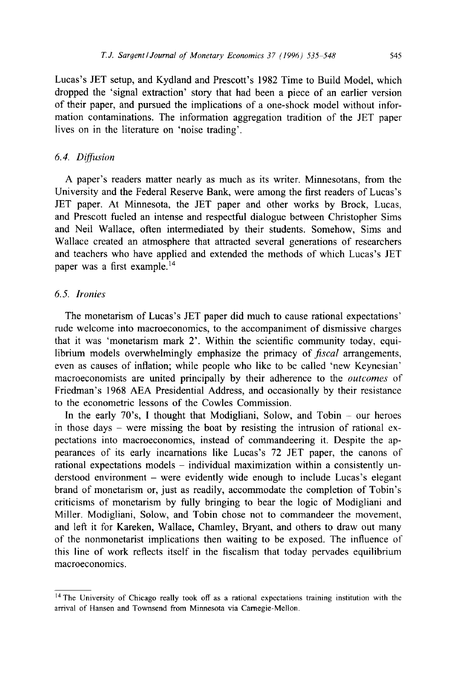Lucas's JET setup, and Kydland and Prescott's 1982 Time to Build Model, which dropped the 'signal extraction' story that had been a piece of an earlier version of their paper, and pursued the implications of a one-shock model without information contaminations. The information aggregation tradition of the JET paper lives on in the literature on 'noise trading'.

# *6.4. D(ffusion*

A paper's readers matter nearly as much as its writer. Minnesotans, from the University and the Federal Reserve Bank, were among the first readers of Lucas's JET paper. At Minnesota, the JET paper and other works by Brock, Lucas, and Prescott fueled an intense and respectful dialogue between Christopher Sims and Neil Wallace, often intermediated by their students. Somehow, Sims and Wallace created an atmosphere that attracted several generations of researchers and teachers who have applied and extended the methods of which Lucas's JET paper was a first example.<sup>14</sup>

### *6.5. Ironies*

The monetarism of Lucas's JET paper did much to cause rational expectations' rude welcome into macroeconomics, to the accompaniment of dismissive charges that it was 'monetarism mark 2'. Within the scientific community today, equilibrium models overwhelmingly emphasize the primacy of *fiscal* arrangements, even as causes of inflation; while people who like to be called 'new Keynesian' macroeconomists are united principally by their adherence to the *outcomes* of Friedman's 1968 AEA Presidential Address, and occasionally by their resistance to the econometric lessons of the Cowles Commission.

In the early  $70$ 's, I thought that Modigliani, Solow, and Tobin  $-$  our heroes in those days - were missing the boat by resisting the intrusion of rational expectations into macroeconomics, instead of commandeering it. Despite the appearances of its early incarnations like Lucas's 72 JET paper, the canons of rational expectations models - individual maximization within a consistently understood environment - were evidently wide enough to include Lucas's elegant brand of monetarism or, just as readily, accommodate the completion of Tobin's criticisms of monetarism by fully bringing to bear the logic of Modigliani and Miller. Modigliani, Solow, and Tobin chose not to commandeer the movement, and left it for Kareken, Wallace, Chamley, Bryant, and others to draw out many of the nonmonetarist implications then waiting to be exposed. The influence of this line of work reflects itself in the fiscalism that today pervades equilibrium macroeconomics.

<sup>&</sup>lt;sup>14</sup> The University of Chicago really took off as a rational expectations training institution with the arrival of Hansen and Townsend from Minnesota via Carnegie-Mellon.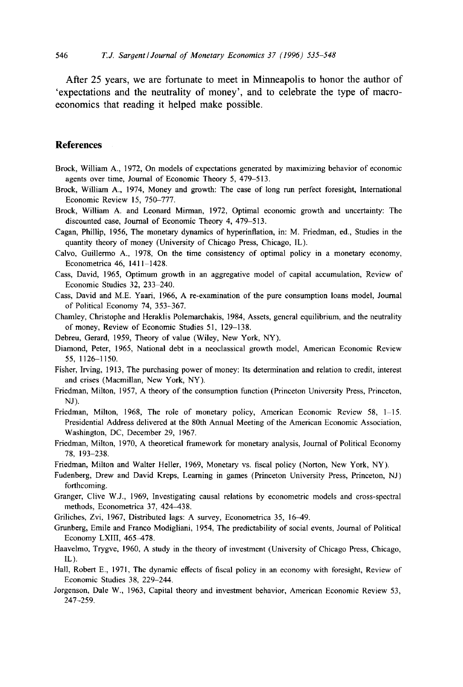After 25 years, we are fortunate to meet in Minneapolis to honor the author of 'expectations and the neutrality of money', and to celebrate the type of macroeconomics that reading it helped make possible.

#### **References**

- Brock, William A., 1972, On models of expectations generated by maximizing behavior of economic agents over time, Journal of Economic Theory 5, 479-513.
- Brock, William A., 1974, Money and growth: The case of long run perfect foresight, International Economic Review 15, 750-777.
- Brock, William A. and Leonard Mirman, 1972, Optimal economic growth and uncertainty: The discounted case, Journal of Economic Theory 4, 479-513.
- Cagan, Phillip, 1956, The monetary dynamics of hyperinflation, in: M. Friedman, ed., Studies in the quantity theory of money (University of Chicago Press, Chicago, IL).
- Calvo, Guillermo A., 1978, On the time consistency of optimal policy in a monetary economy, Econometrica 46, 1411-1428.
- Cass, David, 1965, Optimum growth in an aggregative model of capital accumulation, Review of Economic Studies 32, 233-240.
- Cass, David and M.E. Yaari, 1966, A re-examination of the pure consumption loans model, Journal of Political Economy 74, 353-367.
- Chamley, Christophe and Heraklis Polemarchakis, 1984, Assets, general equilibrium, and the neutrality of money, Review of Economic Studies 51, 129-138.
- Debreu, Gerard, 1959, Theory of value (Wiley, New York, NY).
- Diamond, Peter, 1965, National debt in a neoclassical growth model, American Economic Review 55, 1126-1150.
- Fisher, Irving, 1913, The purchasing power of money: Its determination and relation to credit, interest and crises (Macmillan, New York, NY).
- Friedman, Milton, 1957, A theory of the consumption function (Princeton University Press, Princeton,  $NJ$ ).
- Friedman, Milton, 1968, The role of monetary policy, American Economic Review 58, 1-15. Presidential Address delivered at the 80th Annual Meeting of the American Economic Association, Washington, DC, December 29, 1967.
- Friedman, Milton, 1970, A theoretical framework for monetary analysis, Journal of Political Economy 78, 193-238.
- Friedman, Milton and Waiter Heller, 1969, Monetary vs. fiscal policy (Norton, New York, NY).
- Fudenberg, Drew and David Kreps, Learning in games (Princeton University Press, Princeton, NJ) forthcoming.
- Granger, Clive W.J., 1969, Investigating causal relations by econometric models and cross-spectral methods, Econometrica 37, 424-438.
- Griliches, Zvi, 1967, Distributed lags: A survey, Econometrica 35, 16-49.
- Grunberg, Emile and Franco Modigliani, 1954, The predictability of social events, Journal of Political Economy LXIII, 465-478.
- Haavelmo, Trygve, 1960, A study in the theory of investment (University of Chicago Press, Chicago, IL).
- Hall, Robert E., 1971, The dynamic effects of fiscal policy in an economy with foresight, Review of Economic Studies 38, 229-244.
- Jorgenson, Dale W., 1963, Capital theory and investment behavior, American Economic Review 53, 247-259.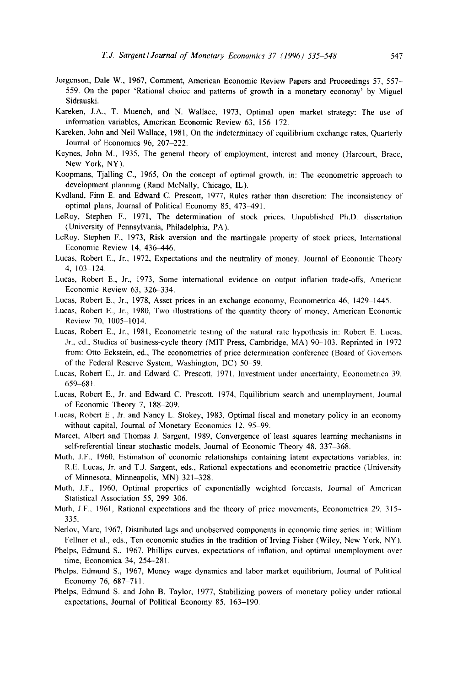- Jorgenson, Dale W., 1967, Comment, American Economic Review Papers and Proceedings 57, 557- 559. On the paper 'Rational choice and patterns of growth in a monetary economy' by Miguel Sidrauski.
- Kareken, J.A., Y. Mueneh, and N. Wallace, 1973, Optimal open market strategy: The use of information variables, American Economic Review 63, 156-172.
- Kareken, John and Neil Wallace, 1981, On the indeterminacy of equilibrium exchange rates, Quarterly Journal of Economics 96, 207~22.
- Keynes, John M., 1935, The general theory of employment, interest and money (Harcourt, Brace, New York, NY).
- Koopmans, Tjalling C., 1965, On the concept of optimal growth, in: The econometric approach to development planning (Rand McNally, Chicago, IL).
- Kydland, Finn E. and Edward C. Prescott, 1977, Rules rather than discretion: The inconsistency of optimal plans, Journal of Political Economy 85, 473-491.
- LeRoy, Stephen F., 1971, The determination of stock prices, Unpublished Ph.D. dissertation (University of Pennsylvania, Philadelphia, PA).
- LeRoy, Stephen F., 1973, Risk aversion and the martingale property of stock prices, International Economic Review 14, 436-446.
- Lucas, Robert E., Jr., 1972, Expectations and the neutrality of money. Journal of Economic Theory 4, 103-124.
- Lucas, Robert E., Jr., 1973, Some international evidence on output-inflation trade-offs, American Economic Review 63, 326-334.
- Lucas, Robert E., Jr., 1978, Asset prices in an exchange economy, Econometrica 46, 1429–1445.
- Lucas, Robert E., Jr., 1980, Two illustrations of the quantity theory of money, American Economic Review 70, 1005-1014.
- Lucas, Robert E., Jr., 1981, Econometric testing of the natural rate hypothesis in: Robert E. Lucas, Jr., ed., Studies of business-cycle theory (MIT Press, Cambridge, MA) 90-103. Reprinted in 1972 from: Otto Eckstein, ed., The econometrics of price determination conference (Board of Governors of the Federal Reserve System, Washington, DC) 50-59.
- Lucas, Robert E., Jr. and Edward C. Prescott, 1971, Investment under uncertainty, Econometrica 39, 659-681.
- Lucas, Robert E., Jr. and Edward C. Prescott, 1974, Equilibrium search and unemployment, Journal of Economic Theory 7, 188-209.
- Lucas, Robert E., Jr. and Nancy L. Stokey, 1983, Optimal fiscal and monetary policy in an economy without capital, Journal of Monetary Economics 12, 95-99.
- Marcet, Albert and Thomas J. Sargent, 1989, Convergence of least squares learning mechanisms in self-referential linear stochastic models, Journal of Economic Theory 48, 337–368.
- Muth, J.F., 1960, Estimation of economic relationships containing latent expectations variables, in: R.E. Lucas, Jr. and T.J. Sargent, eds., Rational expectations and econometric practice (University of Minnesota, Minneapolis, MN) 321-328.
- Muth, J.F., 1960, Optimal properties of exponentially weighted forecasts, Journal of American Statistical Association 55, 299-306.
- Muth, J.F., 1961, Rational expectations and the theory of price movements, Econometrica 29, 315 335.
- Nerlov, Marc, 1967, Distributed lags and unobserved components in economic time series, in: William Fellner et al., eds., Ten economic studies in the tradition of Irving Fisher (Wiley, New York, NY).
- Phelps, Edmund S., 1967, Phillips curves, expectations of inflation, and optimal unemployment over time, Economica 34, 254-281.
- Phelps, Edmund S., 1967, Money wage dynamics and labor market equilibrium, Journal of Political Economy 76, 687–711.
- Phelps, Edmund S. and John B. Taylor, 1977, Stabilizing powers of monetary policy under rational expectations, Journal of Political Economy 85, 163-190.